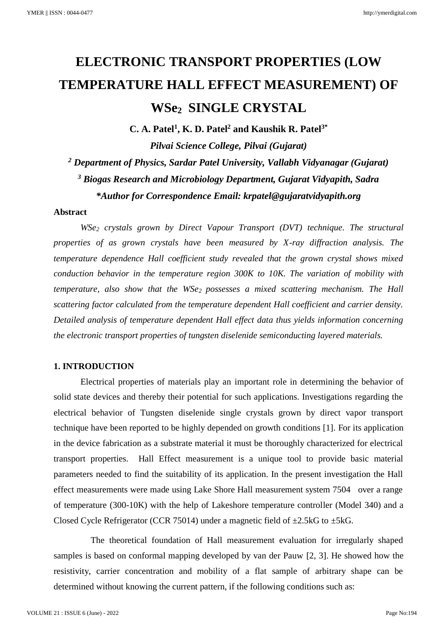# **ELECTRONIC TRANSPORT PROPERTIES (LOW TEMPERATURE HALL EFFECT MEASUREMENT) OF WSe2 SINGLE CRYSTAL**

**C. A. Patel<sup>1</sup> , K. D. Patel<sup>2</sup> and Kaushik R. Patel3\*** *Pilvai Science College, Pilvai (Gujarat) <sup>2</sup> Department of Physics, Sardar Patel University, Vallabh Vidyanagar (Gujarat) <sup>3</sup> Biogas Research and Microbiology Department, Gujarat Vidyapith, Sadra \*Author for Correspondence Email: krpatel@gujaratvidyapith.org*

### **Abstract**

*WSe<sup>2</sup> crystals grown by Direct Vapour Transport (DVT) technique. The structural properties of as grown crystals have been measured by X-ray diffraction analysis. The temperature dependence Hall coefficient study revealed that the grown crystal shows mixed conduction behavior in the temperature region 300K to 10K. The variation of mobility with temperature, also show that the WSe2 possesses a mixed scattering mechanism. The Hall scattering factor calculated from the temperature dependent Hall coefficient and carrier density. Detailed analysis of temperature dependent Hall effect data thus yields information concerning the electronic transport properties of tungsten diselenide semiconducting layered materials.* 

# **1. INTRODUCTION**

Electrical properties of materials play an important role in determining the behavior of solid state devices and thereby their potential for such applications. Investigations regarding the electrical behavior of Tungsten diselenide single crystals grown by direct vapor transport technique have been reported to be highly depended on growth conditions [1]. For its application in the device fabrication as a substrate material it must be thoroughly characterized for electrical transport properties. Hall Effect measurement is a unique tool to provide basic material parameters needed to find the suitability of its application. In the present investigation the Hall effect measurements were made using Lake Shore Hall measurement system 7504 over a range of temperature (300-10K) with the help of Lakeshore temperature controller (Model 340) and a Closed Cycle Refrigerator (CCR 75014) under a magnetic field of  $\pm 2.5$ kG to  $\pm 5$ kG.

The theoretical foundation of Hall measurement evaluation for irregularly shaped samples is based on conformal mapping developed by van der Pauw [2, 3]. He showed how the resistivity, carrier concentration and mobility of a flat sample of arbitrary shape can be determined without knowing the current pattern, if the following conditions such as: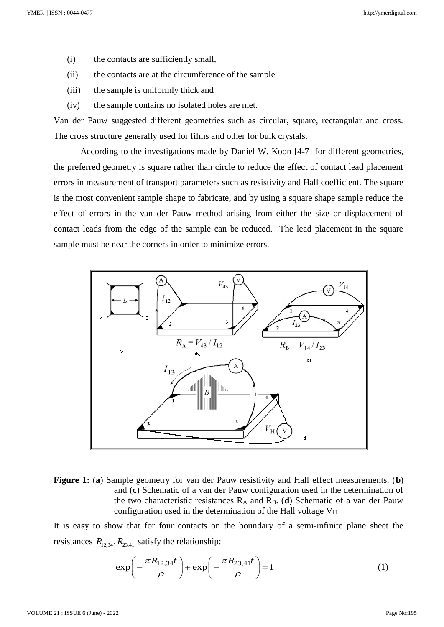- (i) the contacts are sufficiently small,
- (ii) the contacts are at the circumference of the sample
- (iii) the sample is uniformly thick and
- (iv) the sample contains no isolated holes are met.

Van der Pauw suggested different geometries such as circular, square, rectangular and cross. The cross structure generally used for films and other for bulk crystals.

According to the investigations made by Daniel W. Koon [4-7] for different geometries, the preferred geometry is square rather than circle to reduce the effect of contact lead placement errors in measurement of transport parameters such as resistivity and Hall coefficient. The square is the most convenient sample shape to fabricate, and by using a square shape sample reduce the effect of errors in the van der Pauw method arising from either the size or displacement of contact leads from the edge of the sample can be reduced. The lead placement in the square sample must be near the corners in order to minimize errors.



**Figure 1:** (**a**) Sample geometry for van der Pauw resistivity and Hall effect measurements. (**b**) and (**c**) Schematic of a van der Pauw configuration used in the determination of the two characteristic resistances R<sup>A</sup> and RB. (**d**) Schematic of a van der Pauw configuration used in the determination of the Hall voltage  $V_H$ 

It is easy to show that for four contacts on the boundary of a semi-infinite plane sheet the resistances  $R_{12,34}$ ,  $R_{23,41}$  satisfy the relationship:

exp
$$
\left(-\frac{\pi R_{12,34}t}{\rho}\right)
$$
 + exp $\left(-\frac{\pi R_{23,41}t}{\rho}\right)$  = 1 (1)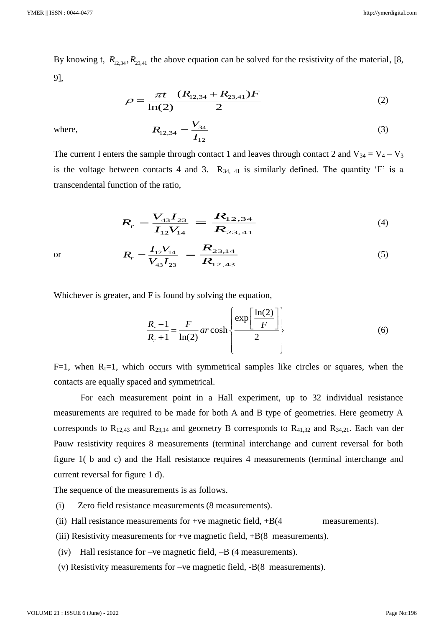By knowing t,  $R_{12,34}, R_{23,41}$  the above equation can be solved for the resistivity of the material, [8, 9],

$$
\rho = \frac{\pi t}{\ln(2)} \frac{(R_{12,34} + R_{23,41})F}{2}
$$
\n(2)

where,

or

$$
R_{12,34} = \frac{V_{34}}{I_{12}}\tag{3}
$$

The current I enters the sample through contact 1 and leaves through contact 2 and  $V_{34} = V_4 - V_3$ is the voltage between contacts 4 and 3.  $R_{34, 41}$  is similarly defined. The quantity 'F' is a transcendental function of the ratio,

$$
R_r = \frac{V_{43}I_{23}}{I_{12}V_{14}} = \frac{R_{12,34}}{R_{23,41}}
$$
 (4)

$$
R_r = \frac{I_{12}V_{14}}{V_{43}I_{23}} = \frac{R_{23,14}}{R_{12,43}}
$$
 (5)

Whichever is greater, and F is found by solving the equation,

$$
\frac{R_r - 1}{R_r + 1} = \frac{F}{\ln(2)} \operatorname{ar} \cosh \left\{ \frac{\exp \left[ \frac{\ln(2)}{F} \right]}{2} \right\}
$$
(6)

F=1, when  $R<sub>r</sub>=1$ , which occurs with symmetrical samples like circles or squares, when the contacts are equally spaced and symmetrical.

For each measurement point in a Hall experiment, up to 32 individual resistance measurements are required to be made for both A and B type of geometries. Here geometry A corresponds to  $R_{12,43}$  and  $R_{23,14}$  and geometry B corresponds to  $R_{41,32}$  and  $R_{34,21}$ . Each van der Pauw resistivity requires 8 measurements (terminal interchange and current reversal for both figure 1( b and c) and the Hall resistance requires 4 measurements (terminal interchange and current reversal for figure 1 d).

The sequence of the measurements is as follows.

- (i) Zero field resistance measurements (8 measurements).
- (ii) Hall resistance measurements for +ve magnetic field,  $+B(4$  measurements).
- (iii) Resistivity measurements for +ve magnetic field,  $+B(8)$  measurements).
- (iv) Hall resistance for –ve magnetic field, –B (4 measurements).
- (v) Resistivity measurements for –ve magnetic field, -B(8 measurements).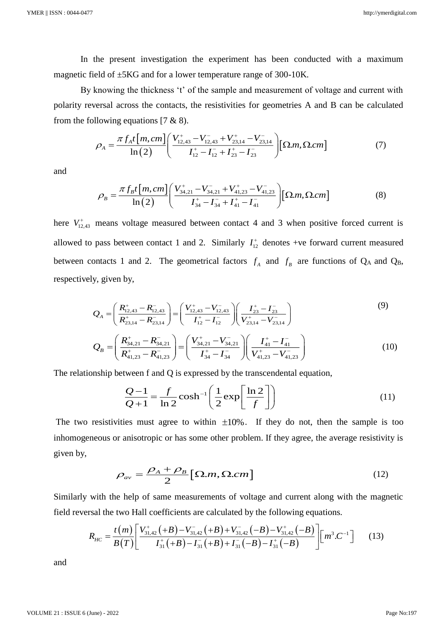In the present investigation the experiment has been conducted with a maximum magnetic field of ±5KG and for a lower temperature range of 300-10K.

By knowing the thickness 't' of the sample and measurement of voltage and current with polarity reversal across the contacts, the resistivities for geometries A and B can be calculated from the following equations  $[7 \& 8)$ .

$$
\rho_{A} = \frac{\pi f_{A} t [m, cm]}{\ln(2)} \left( \frac{V_{12,43}^{+} - V_{12,43}^{-} + V_{23,14}^{+} - V_{23,14}^{-}}{I_{12}^{+} - I_{12}^{-} + I_{23}^{+} - I_{23}^{-}} \right) [\Omega.m, \Omega.cm] \tag{7}
$$

and

$$
\rho_B = \frac{\pi f_B t \left[ m, cm \right]}{\ln(2)} \left( \frac{V_{34,21}^+ - V_{34,21}^- + V_{41,23}^+ - V_{41,23}^-}{I_{34}^+ - I_{34}^- + I_{41}^+ - I_{41}^-} \right) \left[ \Omega.m, \Omega.cm \right] \tag{8}
$$

here  $V_{12,43}^+$  means voltage measured between contact 4 and 3 when positive forced current is allowed to pass between contact 1 and 2. Similarly  $I_{12}^+$  denotes +ve forward current measured between contacts 1 and 2. The geometrical factors  $f_A$  and  $f_B$  are functions of  $Q_A$  and  $Q_B$ , respectively, given by,

$$
Q_{A} = \left(\frac{R_{12,43}^{+} - R_{12,43}^{-}}{R_{23,14}^{+} - R_{23,14}^{-}}\right) = \left(\frac{V_{12,43}^{+} - V_{12,43}^{-}}{I_{12}^{+} - I_{12}^{-}}\right)\left(\frac{I_{23}^{+} - I_{23}^{-}}{V_{23,14}^{+} - V_{23,14}^{-}}\right)
$$
\n(9)

$$
Q_B = \left(\frac{R_{34,21}^+ - R_{34,21}^-}{R_{41,23}^+ - R_{41,23}^-}\right) = \left(\frac{V_{34,21}^+ - V_{34,21}^-}{I_{34}^+ - I_{34}^-}\right)\left(\frac{I_{41}^+ - I_{41}^-}{V_{41,23}^+ - V_{41,23}^-}\right)
$$
(10)

The relationship between f and Q is expressed by the transcendental equation,  
\n
$$
\frac{Q-1}{Q+1} = \frac{f}{\ln 2} \cosh^{-1} \left( \frac{1}{2} \exp\left[\frac{\ln 2}{f}\right] \right)
$$
\n(11)

The two resistivities must agree to within  $\pm 10\%$ . If they do not, then the sample is too inhomogeneous or anisotropic or has some other problem. If they agree, the average resistivity is given by,

given by,  
\n
$$
\rho_{av} = \frac{\rho_A + \rho_B}{2} [\Omega.m, \Omega.cm]
$$
\n(12)

Similarly with the help of same measurements of voltage and current along with the magnetic field reversal the two Hall coefficients are calculated by the following equations.

$$
R_{HC} = \frac{t(m)}{B(T)} \left[ \frac{V_{31,42}^+ (+B) - V_{31,42}^- (+B) + V_{31,42}^- (-B) - V_{31,42}^+ (-B)}{I_{31}^+ (+B) - I_{31}^- (+B) + I_{31}^- (-B) - I_{31}^+ (-B)} \right] \left[ m^3 \cdot C^{-1} \right] \tag{13}
$$

and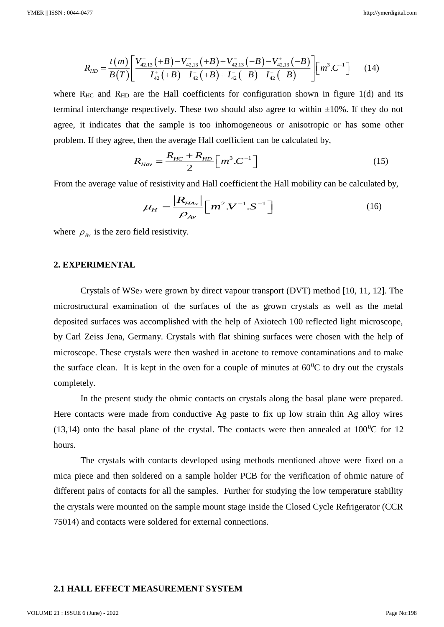$$
R_{HD} = \frac{t(m)}{B(T)} \left[ \frac{V_{42,13}^+ (+B) - V_{42,13}^- (+B) + V_{42,13}^- (-B) - V_{42,13}^+ (-B)}{I_{42}^+ (+B) - I_{42}^- (+B) + I_{42}^- (-B) - I_{42}^+ (-B)} \right] \left[ m^3 \cdot C^{-1} \right] \tag{14}
$$

where  $R_{HC}$  and  $R_{HD}$  are the Hall coefficients for configuration shown in figure 1(d) and its terminal interchange respectively. These two should also agree to within  $\pm 10\%$ . If they do not agree, it indicates that the sample is too inhomogeneous or anisotropic or has some other problem. If they agree, then the average Hall coefficient can be calculated by,

$$
R_{Hav} = \frac{R_{HC} + R_{HD}}{2} \left[ m^3 \cdot C^{-1} \right]
$$
 (15)

From the average value of resistivity and Hall coefficient the Hall mobility can be calculated by,

$$
\mu_H = \frac{|R_{HAv}|}{\rho_{Av}} [m^2 \cdot V^{-1} \cdot S^{-1}]
$$
\n(16)

where  $\rho_{A\nu}$  is the zero field resistivity.

## **2. EXPERIMENTAL**

Crystals of  $WSe<sub>2</sub>$  were grown by direct vapour transport (DVT) method [10, 11, 12]. The microstructural examination of the surfaces of the as grown crystals as well as the metal deposited surfaces was accomplished with the help of Axiotech 100 reflected light microscope, by Carl Zeiss Jena, Germany. Crystals with flat shining surfaces were chosen with the help of microscope. These crystals were then washed in acetone to remove contaminations and to make the surface clean. It is kept in the oven for a couple of minutes at  $60^{\circ}$ C to dry out the crystals completely.

In the present study the ohmic contacts on crystals along the basal plane were prepared. Here contacts were made from conductive Ag paste to fix up low strain thin Ag alloy wires (13,14) onto the basal plane of the crystal. The contacts were then annealed at  $100^{\circ}$ C for 12 hours.

The crystals with contacts developed using methods mentioned above were fixed on a mica piece and then soldered on a sample holder PCB for the verification of ohmic nature of different pairs of contacts for all the samples. Further for studying the low temperature stability the crystals were mounted on the sample mount stage inside the Closed Cycle Refrigerator (CCR 75014) and contacts were soldered for external connections.

## **2.1 HALL EFFECT MEASUREMENT SYSTEM**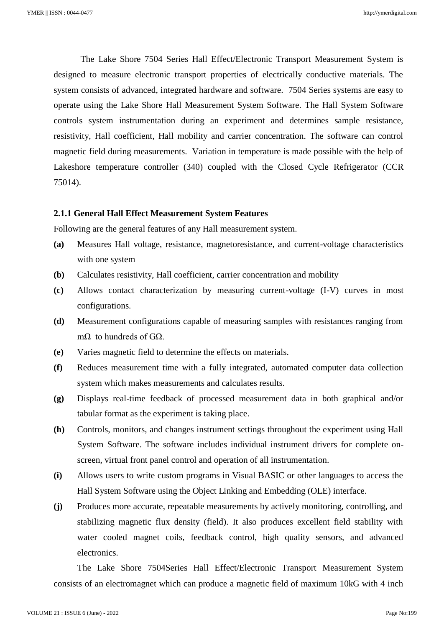The Lake Shore 7504 Series Hall Effect/Electronic Transport Measurement System is designed to measure electronic transport properties of electrically conductive materials. The system consists of advanced, integrated hardware and software. 7504 Series systems are easy to operate using the Lake Shore Hall Measurement System Software. The Hall System Software controls system instrumentation during an experiment and determines sample resistance, resistivity, Hall coefficient, Hall mobility and carrier concentration. The software can control magnetic field during measurements. Variation in temperature is made possible with the help of Lakeshore temperature controller (340) coupled with the Closed Cycle Refrigerator (CCR 75014).

# **2.1.1 General Hall Effect Measurement System Features**

Following are the general features of any Hall measurement system.

- **(a)** Measures Hall voltage, resistance, magnetoresistance, and current-voltage characteristics with one system
- **(b)** Calculates resistivity, Hall coefficient, carrier concentration and mobility
- **(c)** Allows contact characterization by measuring current-voltage (I-V) curves in most configurations.
- **(d)** Measurement configurations capable of measuring samples with resistances ranging from mΩ to hundreds of  $GΩ$ .
- **(e)** Varies magnetic field to determine the effects on materials.
- **(f)** Reduces measurement time with a fully integrated, automated computer data collection system which makes measurements and calculates results.
- **(g)** Displays real-time feedback of processed measurement data in both graphical and/or tabular format as the experiment is taking place.
- **(h)** Controls, monitors, and changes instrument settings throughout the experiment using Hall System Software. The software includes individual instrument drivers for complete onscreen, virtual front panel control and operation of all instrumentation.
- **(i)** Allows users to write custom programs in Visual BASIC or other languages to access the Hall System Software using the Object Linking and Embedding (OLE) interface.
- **(j)** Produces more accurate, repeatable measurements by actively monitoring, controlling, and stabilizing magnetic flux density (field). It also produces excellent field stability with water cooled magnet coils, feedback control, high quality sensors, and advanced electronics.

The Lake Shore 7504Series Hall Effect/Electronic Transport Measurement System consists of an electromagnet which can produce a magnetic field of maximum 10kG with 4 inch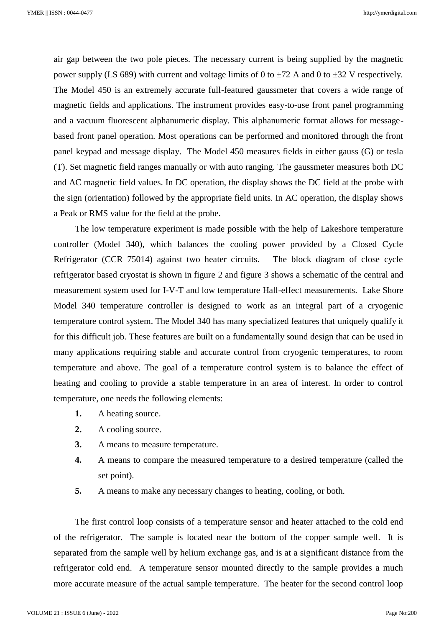air gap between the two pole pieces. The necessary current is being supplied by the magnetic power supply (LS 689) with current and voltage limits of 0 to  $\pm$ 72 A and 0 to  $\pm$ 32 V respectively. The Model 450 is an extremely accurate full-featured gaussmeter that covers a wide range of magnetic fields and applications. The instrument provides easy-to-use front panel programming and a vacuum fluorescent alphanumeric display. This alphanumeric format allows for messagebased front panel operation. Most operations can be performed and monitored through the front panel keypad and message display. The Model 450 measures fields in either gauss (G) or tesla (T). Set magnetic field ranges manually or with auto ranging. The gaussmeter measures both DC and AC magnetic field values. In DC operation, the display shows the DC field at the probe with the sign (orientation) followed by the appropriate field units. In AC operation, the display shows a Peak or RMS value for the field at the probe.

The low temperature experiment is made possible with the help of Lakeshore temperature controller (Model 340), which balances the cooling power provided by a Closed Cycle Refrigerator (CCR 75014) against two heater circuits. The block diagram of close cycle refrigerator based cryostat is shown in figure 2 and figure 3 shows a schematic of the central and measurement system used for I-V-T and low temperature Hall-effect measurements. Lake Shore Model 340 temperature controller is designed to work as an integral part of a cryogenic temperature control system. The Model 340 has many specialized features that uniquely qualify it for this difficult job. These features are built on a fundamentally sound design that can be used in many applications requiring stable and accurate control from cryogenic temperatures, to room temperature and above. The goal of a temperature control system is to balance the effect of heating and cooling to provide a stable temperature in an area of interest. In order to control temperature, one needs the following elements:

- **1.** A heating source.
- **2.** A cooling source.
- **3.** A means to measure temperature.
- **4.** A means to compare the measured temperature to a desired temperature (called the set point).
- **5.** A means to make any necessary changes to heating, cooling, or both.

The first control loop consists of a temperature sensor and heater attached to the cold end of the refrigerator. The sample is located near the bottom of the copper sample well. It is separated from the sample well by helium exchange gas, and is at a significant distance from the refrigerator cold end. A temperature sensor mounted directly to the sample provides a much more accurate measure of the actual sample temperature. The heater for the second control loop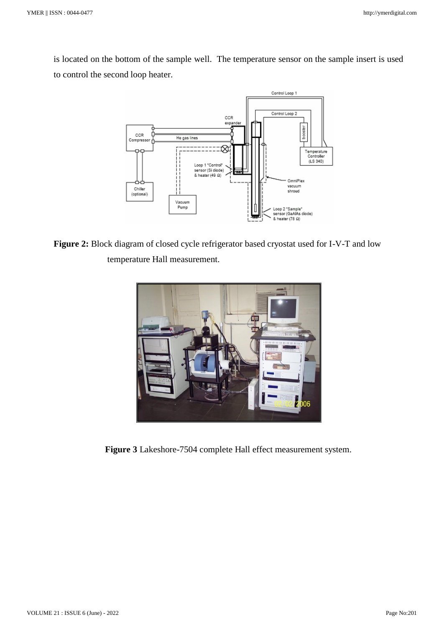is located on the bottom of the sample well. The temperature sensor on the sample insert is used to control the second loop heater.



**Figure 2:** Block diagram of closed cycle refrigerator based cryostat used for I-V-T and low temperature Hall measurement.



**Figure 3** Lakeshore-7504 complete Hall effect measurement system.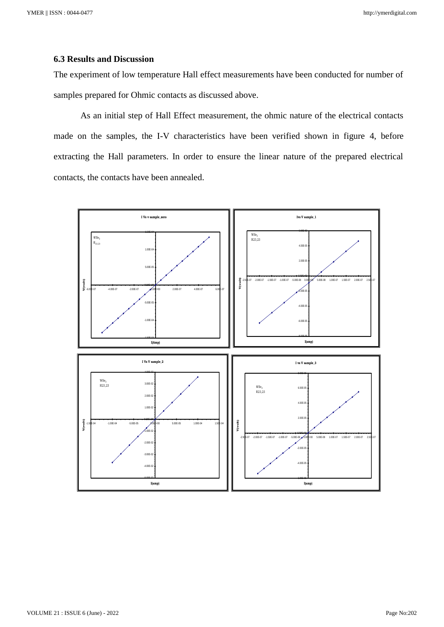# **6.3 Results and Discussion**

The experiment of low temperature Hall effect measurements have been conducted for number of samples prepared for Ohmic contacts as discussed above.

As an initial step of Hall Effect measurement, the ohmic nature of the electrical contacts made on the samples, the I-V characteristics have been verified shown in figure 4, before extracting the Hall parameters. In order to ensure the linear nature of the prepared electrical contacts, the contacts have been annealed.

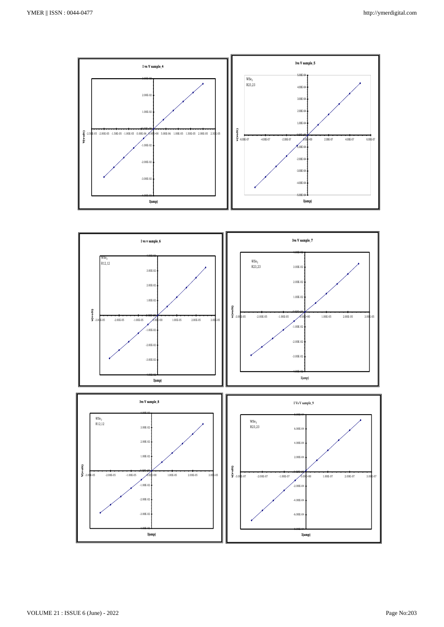



-8.00E-04

 $-6.00E - 0$ 

-4.00E-02

 $-3.00E-0$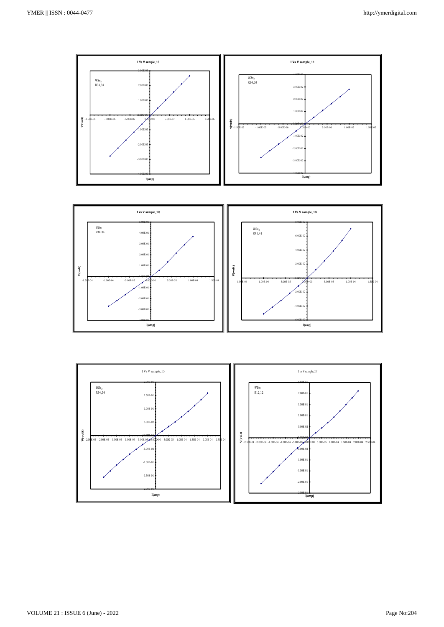

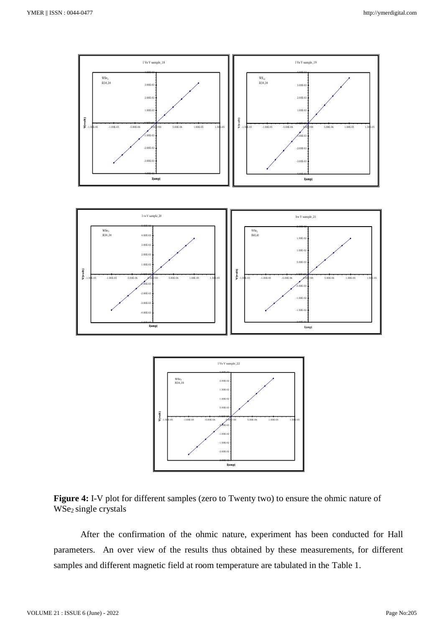



After the confirmation of the ohmic nature, experiment has been conducted for Hall parameters. An over view of the results thus obtained by these measurements, for different samples and different magnetic field at room temperature are tabulated in the Table 1.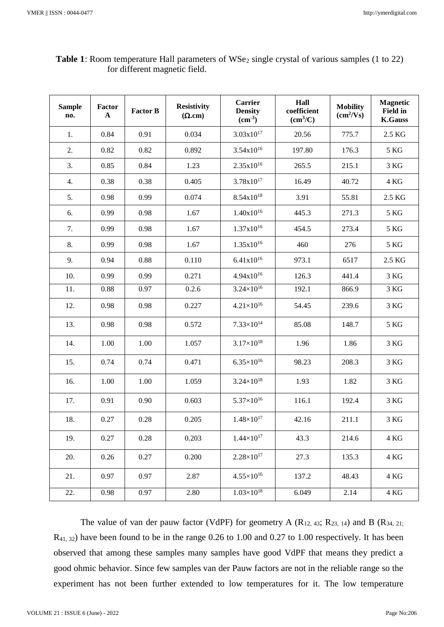$\mathbf{r}$ 

| <b>Sample</b><br>no. | Factor<br>$\mathbf A$ | <b>Factor B</b> | <b>Resistivity</b><br>$(\Omega$ .cm) | Carrier<br><b>Density</b><br>$\text{cm}^3$ | Hall<br>coefficient<br>(cm <sup>3</sup> /C) | <b>Mobility</b><br>$(cm^2/Vs)$ | <b>Magnetic</b><br><b>Field in</b><br><b>K.Gauss</b> |
|----------------------|-----------------------|-----------------|--------------------------------------|--------------------------------------------|---------------------------------------------|--------------------------------|------------------------------------------------------|
| 1.                   | 0.84                  | 0.91            | 0.034                                | $3.03x10^{17}$                             | 20.56                                       | 775.7                          | 2.5 KG                                               |
| 2.                   | 0.82                  | 0.82            | 0.892                                | $3.54x10^{16}$                             | 197.80                                      | 176.3                          | 5 KG                                                 |
| 3.                   | 0.85                  | 0.84            | 1.23                                 | $2.35x10^{16}$                             | 265.5                                       | 215.1                          | 3 KG                                                 |
| 4.                   | 0.38                  | 0.38            | 0.405                                | $3.78x10^{17}$                             | 16.49                                       | 40.72                          | 4 KG                                                 |
| 5.                   | 0.98                  | 0.99            | 0.074                                | $8.54x10^{18}$                             | 3.91                                        | 55.81                          | 2.5 KG                                               |
| 6.                   | 0.99                  | 0.98            | 1.67                                 | $1.40x10^{16}$                             | 445.3                                       | 271.3                          | 5 KG                                                 |
| 7.                   | 0.99                  | 0.98            | 1.67                                 | $1.37x10^{16}$                             | 454.5                                       | 273.4                          | 5 KG                                                 |
| 8.                   | 0.99                  | 0.98            | 1.67                                 | $1.35x10^{16}$                             | 460                                         | 276                            | 5 KG                                                 |
| 9.                   | 0.94                  | 0.88            | 0.110                                | $6.41x10^{16}$                             | 973.1                                       | 6517                           | 2.5 KG                                               |
| 10.                  | 0.99                  | 0.99            | 0.271                                | 4.94x10 <sup>16</sup>                      | 126.3                                       | 441.4                          | 3 KG                                                 |
| 11.                  | 0.88                  | 0.97            | 0.2.6                                | $3.24 \times 10^{16}$                      | 192.1                                       | 866.9                          | $3\ \mathrm{KG}$                                     |
| 12.                  | 0.98                  | 0.98            | 0.227                                | $4.21\times10^{16}$                        | 54.45                                       | 239.6                          | 3 KG                                                 |
| 13.                  | 0.98                  | 0.98            | 0.572                                | $7.33\times10^{14}$                        | 85.08                                       | 148.7                          | 5 KG                                                 |
| 14.                  | 1.00                  | 1.00            | 1.057                                | $3.17\times10^{18}$                        | 1.96                                        | 1.86                           | 3 KG                                                 |
| 15.                  | 0.74                  | 0.74            | 0.471                                | $6.35\times10^{16}$                        | 98.23                                       | 208.3                          | 3 KG                                                 |
| 16.                  | 1.00                  | 1.00            | 1.059                                | $3.24 \times 10^{18}$                      | 1.93                                        | 1.82                           | 3 KG                                                 |
| 17.                  | 0.91                  | 0.90            | 0.603                                | $5.37\times10^{16}$                        | 116.1                                       | 192.4                          | 3 KG                                                 |
| 18.                  | 0.27                  | 0.28            | 0.205                                | $1.48\times10^{17}$                        | 42.16                                       | 211.1                          | 3 KG                                                 |
| 19.                  | 0.27                  | 0.28            | 0.203                                | $1.44 \times 10^{17}$                      | 43.3                                        | 214.6                          | 4 KG                                                 |
| 20.                  | 0.26                  | 0.27            | 0.200                                | $2.28\times10^{17}$                        | 27.3                                        | 135.3                          | 4 KG                                                 |
| 21.                  | 0.97                  | 0.97            | 2.87                                 | $4.55\times10^{16}$                        | 137.2                                       | 48.43                          | 4 KG                                                 |
| 22.                  | 0.98                  | 0.97            | 2.80                                 | $1.03\times10^{18}$                        | 6.049                                       | 2.14                           | 4 KG                                                 |

| <b>Table 1</b> : Room temperature Hall parameters of $WSe_2$ single crystal of various samples (1 to 22) |  |  |  |  |  |
|----------------------------------------------------------------------------------------------------------|--|--|--|--|--|
| for different magnetic field.                                                                            |  |  |  |  |  |

The value of van der pauw factor (VdPF) for geometry A  $(R_{12, 43}; R_{23, 14})$  and B  $(R_{34, 21};$ R41, 32) have been found to be in the range 0.26 to 1.00 and 0.27 to 1.00 respectively. It has been observed that among these samples many samples have good VdPF that means they predict a good ohmic behavior. Since few samples van der Pauw factors are not in the reliable range so the experiment has not been further extended to low temperatures for it. The low temperature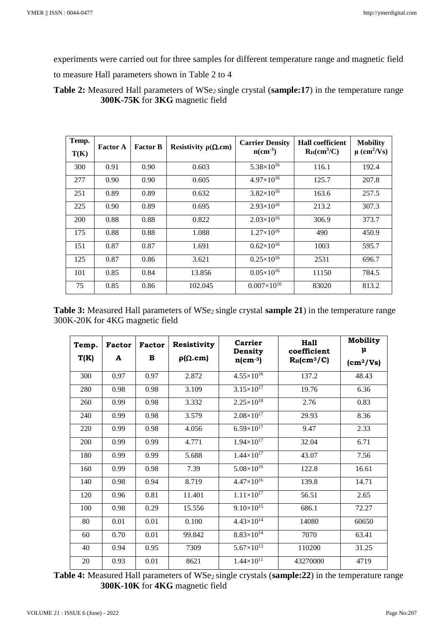experiments were carried out for three samples for different temperature range and magnetic field

to measure Hall parameters shown in Table 2 to 4

Table 2: Measured Hall parameters of WSe<sub>2</sub> single crystal (sample:17) in the temperature range **300K-75K** for **3KG** magnetic field

| Temp.<br>T(K) | <b>Factor A</b> | <b>Factor B</b> | Resistivity $\rho(\Omega.cm)$ | <b>Carrier Density</b><br>$n$ (cm <sup>-3</sup> ) | <b>Hall coefficient</b><br>$R_H(cm^3/C)$ | <b>Mobility</b><br>$\mu$ (cm <sup>2</sup> /Vs) |
|---------------|-----------------|-----------------|-------------------------------|---------------------------------------------------|------------------------------------------|------------------------------------------------|
| 300           | 0.91            | 0.90            | 0.603                         | $5.38\times10^{16}$                               | 116.1                                    | 192.4                                          |
| 277           | 0.90            | 0.90            | 0.605                         | $4.97\times10^{16}$                               | 125.7                                    | 207.8                                          |
| 251           | 0.89            | 0.89            | 0.632                         | $3.82\times10^{16}$                               | 163.6                                    | 257.5                                          |
| 225           | 0.90            | 0.89            | 0.695                         | $2.93\times10^{16}$                               | 213.2                                    | 307.3                                          |
| 200           | 0.88            | 0.88            | 0.822                         | $2.03\times10^{16}$                               | 306.9                                    | 373.7                                          |
| 175           | 0.88            | 0.88            | 1.088                         | $1.27\times10^{16}$                               | 490                                      | 450.9                                          |
| 151           | 0.87            | 0.87            | 1.691                         | $0.62\times10^{16}$                               | 1003                                     | 595.7                                          |
| 125           | 0.87            | 0.86            | 3.621                         | $0.25\times10^{16}$                               | 2531                                     | 696.7                                          |
| 101           | 0.85            | 0.84            | 13.856                        | $0.05\times10^{16}$                               | 11150                                    | 784.5                                          |
| 75            | 0.85            | 0.86            | 102.045                       | $0.007\times10^{16}$                              | 83020                                    | 813.2                                          |

Table 3: Measured Hall parameters of WSe<sub>2</sub> single crystal **sample 21**) in the temperature range 300K-20K for 4KG magnetic field

| Temp.<br>T(K) | <b>Factor</b><br>A | Factor<br>в | <b>Resistivity</b><br>$\rho(\Omega.cm)$ | Carrier<br>Density<br>$n$ (cm $^{-3}$ ) | Hall<br>coefficient<br>$R_H$ (cm <sup>3</sup> /C) | <b>Mobility</b><br>μ      |
|---------------|--------------------|-------------|-----------------------------------------|-----------------------------------------|---------------------------------------------------|---------------------------|
|               |                    |             |                                         |                                         |                                                   | $\text{(cm}^2/\text{Vs)}$ |
| 300           | 0.97               | 0.97        | 2.872                                   | $4.55\times10^{16}$                     | 137.2                                             | 48.43                     |
| 280           | 0.98               | 0.98        | 3.109                                   | $3.15 \times 10^{17}$                   | 19.76                                             | 6.36                      |
| 260           | 0.99               | 0.98        | 3.332                                   | $2.25\times10^{18}$                     | 2.76                                              | 0.83                      |
| 240           | 0.99               | 0.98        | 3.579                                   | $2.08\times10^{17}$                     | 29.93                                             | 8.36                      |
| 220           | 0.99               | 0.98        | 4.056                                   | $6.59\times10^{17}$                     | 9.47                                              | 2.33                      |
| 200           | 0.99               | 0.99        | 4.771                                   | $1.94\times10^{17}$                     | 32.04                                             | 6.71                      |
| 180           | 0.99               | 0.99        | 5.688                                   | $1.44 \times 10^{17}$                   | 43.07                                             | 7.56                      |
| 160           | 0.99               | 0.98        | 7.39                                    | $5.08\times10^{16}$                     | 122.8                                             | 16.61                     |
| 140           | 0.98               | 0.94        | 8.719                                   | $4.47\times10^{16}$                     | 139.8                                             | 14.71                     |
| 120           | 0.96               | 0.81        | 11.401                                  | $1.11 \times 10^{17}$                   | 56.51                                             | 2.65                      |
| 100           | 0.98               | 0.29        | 15.556                                  | $9.10\times10^{15}$                     | 686.1                                             | 72.27                     |
| 80            | 0.01               | 0.01        | 0.100                                   | $4.43\times10^{14}$                     | 14080                                             | 60650                     |
| 60            | 0.70               | 0.01        | 99.842                                  | $8.83\times10^{14}$                     | 7070                                              | 63.41                     |
| 40            | 0.94               | 0.95        | 7309                                    | $5.67\times10^{13}$                     | 110200                                            | 31.25                     |
| 20            | 0.93               | 0.01        | 8621                                    | $1.44 \times 10^{11}$                   | 43270000                                          | 4719                      |

Table 4: Measured Hall parameters of WSe<sub>2</sub> single crystals (sample: 22) in the temperature range **300K-10K** for **4KG** magnetic field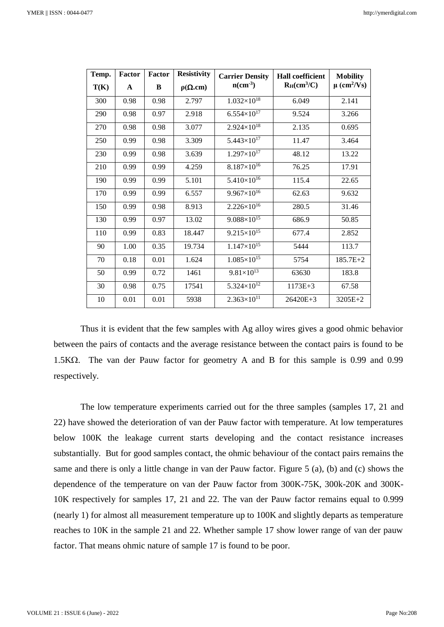| Temp. | <b>Factor</b> | <b>Factor</b> | <b>Resistivity</b> | <b>Carrier Density</b>  | <b>Hall coefficient</b> | <b>Mobility</b>             |
|-------|---------------|---------------|--------------------|-------------------------|-------------------------|-----------------------------|
| T(K)  | $\mathbf{A}$  | B             | $\rho(\Omega.cm)$  | $n$ (cm <sup>-3</sup> ) | $R_H(cm^3/C)$           | $\mu$ (cm <sup>2</sup> /Vs) |
| 300   | 0.98          | 0.98          | 2.797              | $1.032\times10^{18}$    | 6.049                   | 2.141                       |
| 290   | 0.98          | 0.97          | 2.918              | $6.554\times10^{17}$    | 9.524                   | 3.266                       |
| 270   | 0.98          | 0.98          | 3.077              | $2.924\times10^{18}$    | 2.135                   | 0.695                       |
| 250   | 0.99          | 0.98          | 3.309              | $5.443\times10^{17}$    | 11.47                   | 3.464                       |
| 230   | 0.99          | 0.98          | 3.639              | $1.297\times10^{17}$    | 48.12                   | 13.22                       |
| 210   | 0.99          | 0.99          | 4.259              | $8.187\times10^{16}$    | 76.25                   | 17.91                       |
| 190   | 0.99          | 0.99          | 5.101              | $5.410\times10^{16}$    | 115.4                   | 22.65                       |
| 170   | 0.99          | 0.99          | 6.557              | $9.967\times10^{16}$    | 62.63                   | 9.632                       |
| 150   | 0.99          | 0.98          | 8.913              | $2.226 \times 10^{16}$  | 280.5                   | 31.46                       |
| 130   | 0.99          | 0.97          | 13.02              | $9.088\times10^{15}$    | 686.9                   | 50.85                       |
| 110   | 0.99          | 0.83          | 18.447             | $9.215\times10^{15}$    | 677.4                   | 2.852                       |
| 90    | 1.00          | 0.35          | 19.734             | $1.147\times10^{15}$    | 5444                    | 113.7                       |
| 70    | 0.18          | 0.01          | 1.624              | $1.085\times10^{15}$    | 5754                    | 185.7E+2                    |
| 50    | 0.99          | 0.72          | 1461               | $9.81\times10^{13}$     | 63630                   | 183.8                       |
| 30    | 0.98          | 0.75          | 17541              | $5.324 \times 10^{12}$  | $1173E + 3$             | 67.58                       |
| 10    | 0.01          | 0.01          | 5938               | $2.363\times10^{11}$    | $26420E + 3$            | $3205E+2$                   |

Thus it is evident that the few samples with Ag alloy wires gives a good ohmic behavior between the pairs of contacts and the average resistance between the contact pairs is found to be 1.5K $\Omega$ . The van der Pauw factor for geometry A and B for this sample is 0.99 and 0.99 respectively.

The low temperature experiments carried out for the three samples (samples 17, 21 and 22) have showed the deterioration of van der Pauw factor with temperature. At low temperatures below 100K the leakage current starts developing and the contact resistance increases substantially. But for good samples contact, the ohmic behaviour of the contact pairs remains the same and there is only a little change in van der Pauw factor. Figure 5 (a), (b) and (c) shows the dependence of the temperature on van der Pauw factor from 300K-75K, 300k-20K and 300K-10K respectively for samples 17, 21 and 22. The van der Pauw factor remains equal to 0.999 (nearly 1) for almost all measurement temperature up to 100K and slightly departs as temperature reaches to 10K in the sample 21 and 22. Whether sample 17 show lower range of van der pauw factor. That means ohmic nature of sample 17 is found to be poor.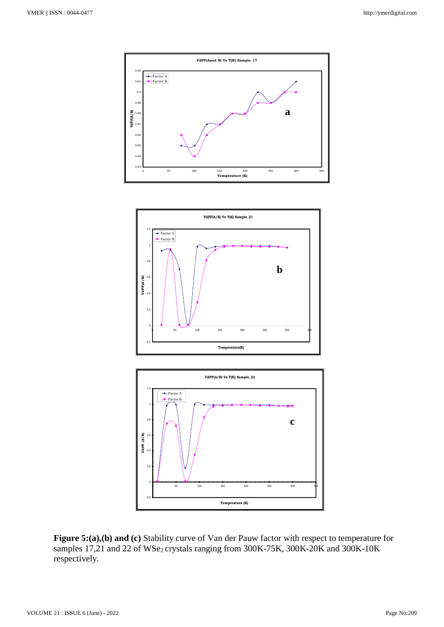





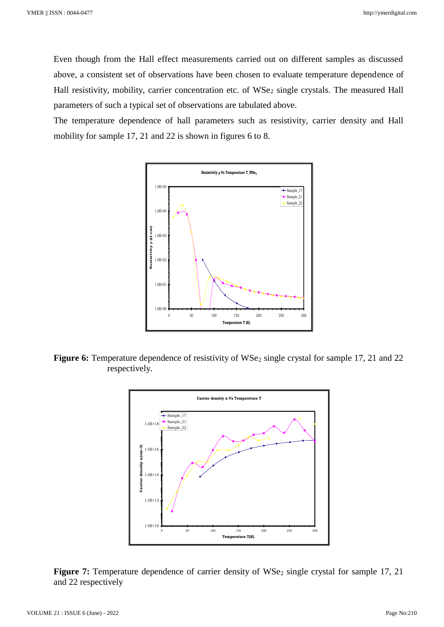Even though from the Hall effect measurements carried out on different samples as discussed above, a consistent set of observations have been chosen to evaluate temperature dependence of Hall resistivity, mobility, carrier concentration etc. of WSe<sub>2</sub> single crystals. The measured Hall parameters of such a typical set of observations are tabulated above.

The temperature dependence of hall parameters such as resistivity, carrier density and Hall mobility for sample 17, 21 and 22 is shown in figures 6 to 8.



**Figure 6:** Temperature dependence of resistivity of WSe<sub>2</sub> single crystal for sample 17, 21 and 22 respectively.



Figure 7: Temperature dependence of carrier density of WSe<sub>2</sub> single crystal for sample 17, 21 and 22 respectively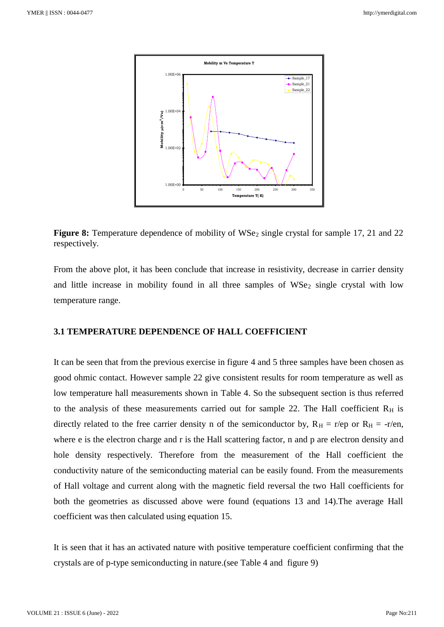

**Figure 8:** Temperature dependence of mobility of WSe<sub>2</sub> single crystal for sample 17, 21 and 22 respectively.

From the above plot, it has been conclude that increase in resistivity, decrease in carrier density and little increase in mobility found in all three samples of  $WSe<sub>2</sub>$  single crystal with low temperature range.

# **3.1 TEMPERATURE DEPENDENCE OF HALL COEFFICIENT**

It can be seen that from the previous exercise in figure 4 and 5 three samples have been chosen as good ohmic contact. However sample 22 give consistent results for room temperature as well as low temperature hall measurements shown in Table 4. So the subsequent section is thus referred to the analysis of these measurements carried out for sample 22. The Hall coefficient  $R_H$  is directly related to the free carrier density n of the semiconductor by,  $R_H = r/ep$  or  $R_H = -r/en$ , where e is the electron charge and r is the Hall scattering factor, n and p are electron density and hole density respectively. Therefore from the measurement of the Hall coefficient the conductivity nature of the semiconducting material can be easily found. From the measurements of Hall voltage and current along with the magnetic field reversal the two Hall coefficients for both the geometries as discussed above were found (equations 13 and 14).The average Hall coefficient was then calculated using equation 15.

It is seen that it has an activated nature with positive temperature coefficient confirming that the crystals are of p-type semiconducting in nature.(see Table 4 and figure 9)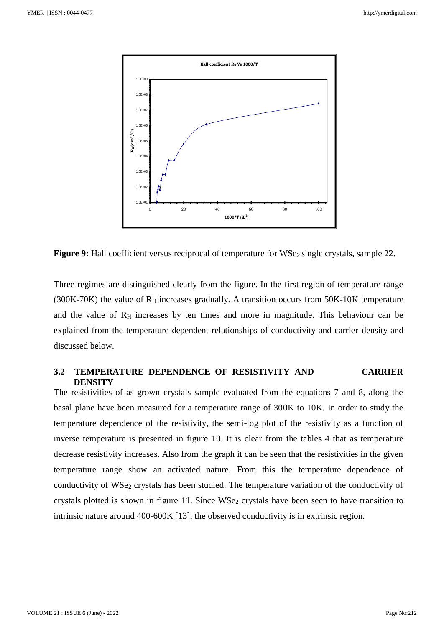

**Figure 9:** Hall coefficient versus reciprocal of temperature for WSe<sub>2</sub> single crystals, sample 22.

Three regimes are distinguished clearly from the figure. In the first region of temperature range (300K-70K) the value of  $R_H$  increases gradually. A transition occurs from 50K-10K temperature and the value of  $R_H$  increases by ten times and more in magnitude. This behaviour can be explained from the temperature dependent relationships of conductivity and carrier density and discussed below.

# **3.2 TEMPERATURE DEPENDENCE OF RESISTIVITY AND CARRIER DENSITY**

The resistivities of as grown crystals sample evaluated from the equations 7 and 8, along the basal plane have been measured for a temperature range of 300K to 10K. In order to study the temperature dependence of the resistivity, the semi-log plot of the resistivity as a function of inverse temperature is presented in figure 10. It is clear from the tables 4 that as temperature decrease resistivity increases. Also from the graph it can be seen that the resistivities in the given temperature range show an activated nature. From this the temperature dependence of conductivity of WSe<sub>2</sub> crystals has been studied. The temperature variation of the conductivity of crystals plotted is shown in figure 11. Since WSe<sub>2</sub> crystals have been seen to have transition to intrinsic nature around 400-600K [13], the observed conductivity is in extrinsic region.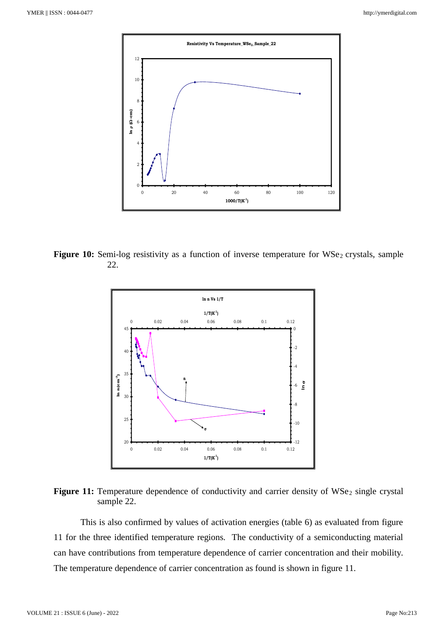

Figure 10: Semi-log resistivity as a function of inverse temperature for WSe<sub>2</sub> crystals, sample 22.



Figure 11: Temperature dependence of conductivity and carrier density of WSe<sub>2</sub> single crystal sample 22.

This is also confirmed by values of activation energies (table 6) as evaluated from figure 11 for the three identified temperature regions. The conductivity of a semiconducting material can have contributions from temperature dependence of carrier concentration and their mobility. The temperature dependence of carrier concentration as found is shown in figure 11.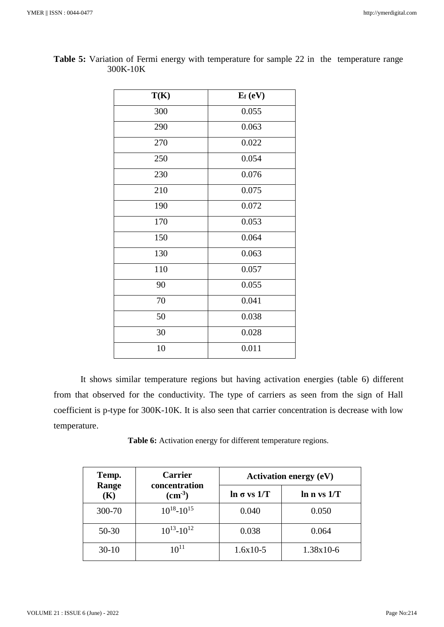| T(K) | $E_f$ (eV) |
|------|------------|
| 300  | 0.055      |
| 290  | 0.063      |
| 270  | 0.022      |
| 250  | 0.054      |
| 230  | 0.076      |
| 210  | 0.075      |
| 190  | 0.072      |
| 170  | 0.053      |
| 150  | 0.064      |
| 130  | 0.063      |
| 110  | 0.057      |
| 90   | 0.055      |
| 70   | 0.041      |
| 50   | 0.038      |
| 30   | 0.028      |
| 10   | 0.011      |

**Table 5:** Variation of Fermi energy with temperature for sample 22 in the temperature range 300K-10K

It shows similar temperature regions but having activation energies (table 6) different from that observed for the conductivity. The type of carriers as seen from the sign of Hall coefficient is p-type for 300K-10K. It is also seen that carrier concentration is decrease with low temperature.

**Table 6:** Activation energy for different temperature regions.

| Temp.<br>Range | <b>Carrier</b><br>concentration | Activation energy $(eV)$ |                  |  |  |
|----------------|---------------------------------|--------------------------|------------------|--|--|
| (K)            | $\text{(cm}^3\text{)}$          | $\ln \sigma$ vs $1/T$    | $\ln n$ vs $1/T$ |  |  |
| 300-70         | $10^{18} - 10^{15}$             | 0.040                    | 0.050            |  |  |
| 50-30          | $10^{13} - 10^{12}$             | 0.038                    | 0.064            |  |  |
| $30-10$        | $10^{11}$                       | $1.6x10-5$               | $1.38x10-6$      |  |  |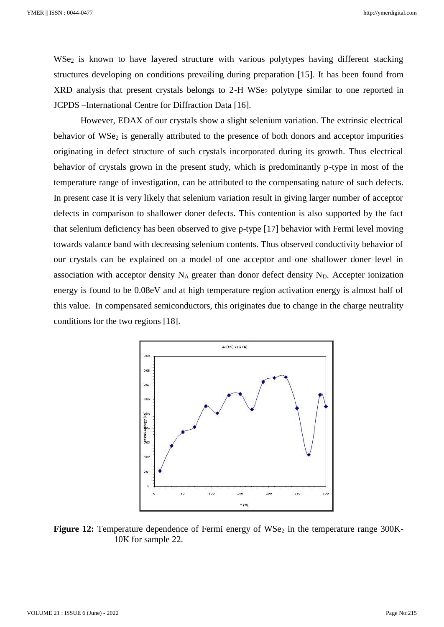WSe<sub>2</sub> is known to have layered structure with various polytypes having different stacking structures developing on conditions prevailing during preparation [15]. It has been found from XRD analysis that present crystals belongs to 2-H WSe<sub>2</sub> polytype similar to one reported in JCPDS –International Centre for Diffraction Data [16].

However, EDAX of our crystals show a slight selenium variation. The extrinsic electrical behavior of  $WSe<sub>2</sub>$  is generally attributed to the presence of both donors and acceptor impurities originating in defect structure of such crystals incorporated during its growth. Thus electrical behavior of crystals grown in the present study, which is predominantly p-type in most of the temperature range of investigation, can be attributed to the compensating nature of such defects. In present case it is very likely that selenium variation result in giving larger number of acceptor defects in comparison to shallower doner defects. This contention is also supported by the fact that selenium deficiency has been observed to give p-type [17] behavior with Fermi level moving towards valance band with decreasing selenium contents. Thus observed conductivity behavior of our crystals can be explained on a model of one acceptor and one shallower doner level in association with acceptor density  $N_A$  greater than donor defect density  $N_D$ . Accepter ionization energy is found to be 0.08eV and at high temperature region activation energy is almost half of this value. In compensated semiconductors, this originates due to change in the charge neutrality conditions for the two regions [18].



**Figure 12:** Temperature dependence of Fermi energy of WSe<sub>2</sub> in the temperature range 300K-10K for sample 22.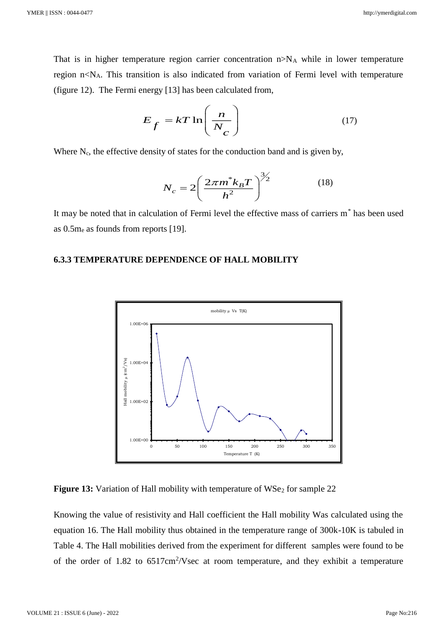That is in higher temperature region carrier concentration  $n>N_A$  while in lower temperature region  $n < N_A$ . This transition is also indicated from variation of Fermi level with temperature (figure 12). The Fermi energy [13] has been calculated from,

$$
E_f = kT \ln\left(\frac{n}{N_c}\right) \tag{17}
$$

Where  $N_c$ , the effective density of states for the conduction band and is given by,

$$
N_c = 2\left(\frac{2\pi m^* k_B T}{h^2}\right)^{3/2} \tag{18}
$$

It may be noted that in calculation of Fermi level the effective mass of carriers m\* has been used as 0.5m<sup>e</sup> as founds from reports [19].

## **6.3.3 TEMPERATURE DEPENDENCE OF HALL MOBILITY**



**Figure 13:** Variation of Hall mobility with temperature of WSe<sub>2</sub> for sample 22

Knowing the value of resistivity and Hall coefficient the Hall mobility Was calculated using the equation 16. The Hall mobility thus obtained in the temperature range of 300k-10K is tabuled in Table 4. The Hall mobilities derived from the experiment for different samples were found to be of the order of  $1.82$  to  $6517 \text{cm}^2/\text{V}\text{sec}$  at room temperature, and they exhibit a temperature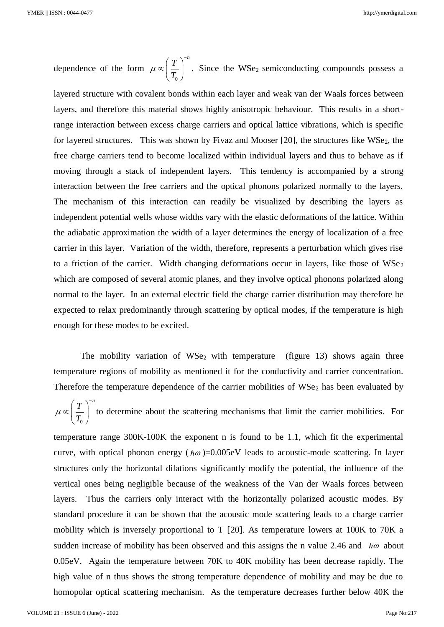dependence of the form 0  $T$ <sup> $\bigcap$  $^{-n}$ </sup>  $\mu \propto \sqrt{\frac{T}{T}}$  $\propto \left(\frac{T}{T_0}\right)^{-n}$ . Since the WSe<sub>2</sub> semiconducting compounds possess a

layered structure with covalent bonds within each layer and weak van der Waals forces between layers, and therefore this material shows highly anisotropic behaviour. This results in a shortrange interaction between excess charge carriers and optical lattice vibrations, which is specific for layered structures. This was shown by Fivaz and Mooser  $[20]$ , the structures like WSe<sub>2</sub>, the free charge carriers tend to become localized within individual layers and thus to behave as if moving through a stack of independent layers. This tendency is accompanied by a strong interaction between the free carriers and the optical phonons polarized normally to the layers. The mechanism of this interaction can readily be visualized by describing the layers as independent potential wells whose widths vary with the elastic deformations of the lattice. Within the adiabatic approximation the width of a layer determines the energy of localization of a free carrier in this layer. Variation of the width, therefore, represents a perturbation which gives rise to a friction of the carrier. Width changing deformations occur in layers, like those of  $WSe<sub>2</sub>$ which are composed of several atomic planes, and they involve optical phonons polarized along normal to the layer. In an external electric field the charge carrier distribution may therefore be expected to relax predominantly through scattering by optical modes, if the temperature is high enough for these modes to be excited.

The mobility variation of  $WSe<sub>2</sub>$  with temperature (figure 13) shows again three temperature regions of mobility as mentioned it for the conductivity and carrier concentration. Therefore the temperature dependence of the carrier mobilities of  $WSe<sub>2</sub>$  has been evaluated by

0  $T\big)^{-n}$  $\mu \propto \vert \frac{1}{T} \vert$  $\propto \left(\frac{T}{T_0}\right)^{-n}$  to determine about the scattering mechanisms that limit the carrier mobilities. For

temperature range 300K-100K the exponent n is found to be 1.1, which fit the experimental curve, with optical phonon energy  $(\hbar \omega) = 0.005$ eV leads to acoustic-mode scattering. In layer structures only the horizontal dilations significantly modify the potential, the influence of the vertical ones being negligible because of the weakness of the Van der Waals forces between layers. Thus the carriers only interact with the horizontally polarized acoustic modes. By standard procedure it can be shown that the acoustic mode scattering leads to a charge carrier mobility which is inversely proportional to T [20]. As temperature lowers at 100K to 70K a sudden increase of mobility has been observed and this assigns the n value 2.46 and  $\hbar\omega$  about 0.05eV. Again the temperature between 70K to 40K mobility has been decrease rapidly. The high value of n thus shows the strong temperature dependence of mobility and may be due to homopolar optical scattering mechanism. As the temperature decreases further below 40K the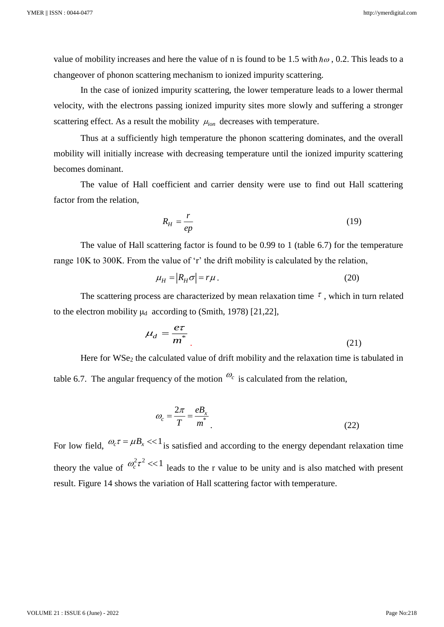value of mobility increases and here the value of n is found to be 1.5 with  $\hbar\omega$ , 0.2. This leads to a changeover of phonon scattering mechanism to ionized impurity scattering.

In the case of ionized impurity scattering, the lower temperature leads to a lower thermal velocity, with the electrons passing ionized impurity sites more slowly and suffering a stronger scattering effect. As a result the mobility  $\mu_{ion}$  decreases with temperature.

Thus at a sufficiently high temperature the phonon scattering dominates, and the overall mobility will initially increase with decreasing temperature until the ionized impurity scattering becomes dominant.

The value of Hall coefficient and carrier density were use to find out Hall scattering factor from the relation,

$$
R_H = \frac{r}{ep} \tag{19}
$$

The value of Hall scattering factor is found to be 0.99 to 1 (table 6.7) for the temperature range 10K to 300K. From the value of 'r' the drift mobility is calculated by the relation,

$$
\mu_H = |R_H \sigma| = r\mu. \tag{20}
$$

The scattering process are characterized by mean relaxation time  $\tau$ , which in turn related to the electron mobility  $\mu_d$  according to (Smith, 1978) [21,22],

$$
\mu_d = \frac{e\tau}{m^*} \tag{21}
$$

Here for WSe<sub>2</sub> the calculated value of drift mobility and the relaxation time is tabulated in table 6.7. The angular frequency of the motion  $\mathcal{O}_c$  is calculated from the relation,

$$
\omega_c = \frac{2\pi}{T} = \frac{eB_x}{m^*} \tag{22}
$$

For low field,  $\omega_c \tau = \mu B_x \ll 1$  is satisfied and according to the energy dependant relaxation time theory the value of  $\omega_c^2 \tau^2 \ll 1$  leads to the r value to be unity and is also matched with present result. Figure 14 shows the variation of Hall scattering factor with temperature.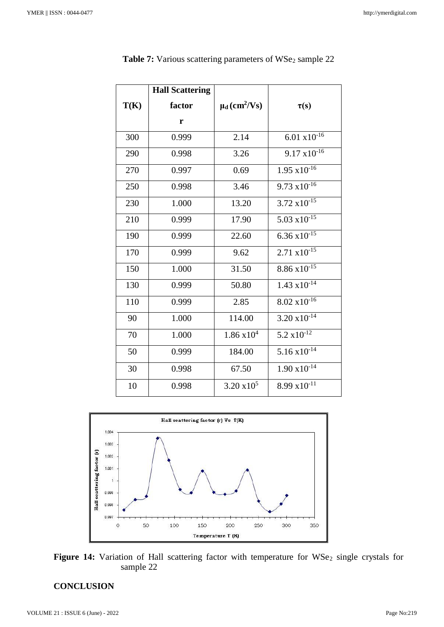|      | <b>Hall Scattering</b> |                                          |                        |
|------|------------------------|------------------------------------------|------------------------|
| T(K) | factor                 | $\mu$ <sub>d</sub> (cm <sup>2</sup> /Vs) | $\tau(s)$              |
|      | r                      |                                          |                        |
| 300  | 0.999                  | 2.14                                     | $6.01 \times 10^{-16}$ |
| 290  | 0.998                  | 3.26                                     | $9.17 \times 10^{-16}$ |
| 270  | 0.997                  | 0.69                                     | $1.95 \times 10^{-16}$ |
| 250  | 0.998                  | 3.46                                     | $9.73 \times 10^{-16}$ |
| 230  | 1.000                  | 13.20                                    | $3.72 \times 10^{-15}$ |
| 210  | 0.999                  | 17.90                                    | 5.03 $x10^{-15}$       |
| 190  | 0.999                  | 22.60                                    | $6.36 \times 10^{-15}$ |
| 170  | 0.999                  | 9.62                                     | $2.71 \times 10^{-15}$ |
| 150  | 1.000                  | 31.50                                    | $8.86 \times 10^{-15}$ |
| 130  | 0.999                  | 50.80                                    | $1.43 \times 10^{-14}$ |
| 110  | 0.999                  | 2.85                                     | $8.02 \times 10^{-16}$ |
| 90   | 1.000                  | 114.00                                   | $3.20 \times 10^{-14}$ |
| 70   | 1.000                  | $1.86 \times 10^{4}$                     | $5.2 \times 10^{-12}$  |
| 50   | 0.999                  | 184.00                                   | $5.16 \times 10^{-14}$ |
| 30   | 0.998                  | 67.50                                    | $1.90 \times 10^{-14}$ |
| 10   | 0.998                  | $3.20 \times 10^5$                       | $8.99 \times 10^{-11}$ |

|  |  |  |  |  |  | <b>Table 7:</b> Various scattering parameters of WSe <sub>2</sub> sample 22 |
|--|--|--|--|--|--|-----------------------------------------------------------------------------|
|--|--|--|--|--|--|-----------------------------------------------------------------------------|





# **CONCLUSION**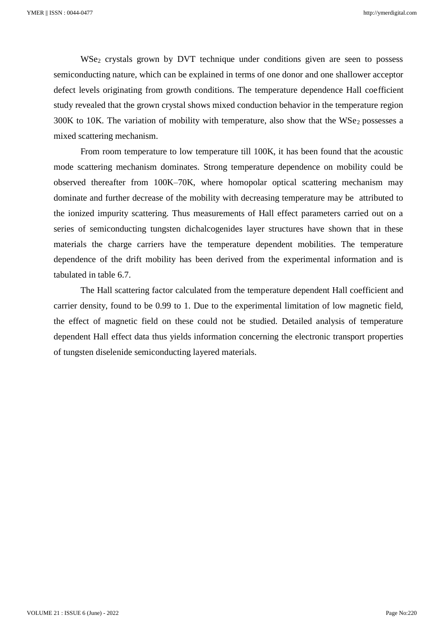WSe<sub>2</sub> crystals grown by DVT technique under conditions given are seen to possess semiconducting nature, which can be explained in terms of one donor and one shallower acceptor defect levels originating from growth conditions. The temperature dependence Hall coefficient study revealed that the grown crystal shows mixed conduction behavior in the temperature region  $300K$  to 10K. The variation of mobility with temperature, also show that the WSe<sub>2</sub> possesses a mixed scattering mechanism.

From room temperature to low temperature till 100K, it has been found that the acoustic mode scattering mechanism dominates. Strong temperature dependence on mobility could be observed thereafter from 100K–70K, where homopolar optical scattering mechanism may dominate and further decrease of the mobility with decreasing temperature may be attributed to the ionized impurity scattering. Thus measurements of Hall effect parameters carried out on a series of semiconducting tungsten dichalcogenides layer structures have shown that in these materials the charge carriers have the temperature dependent mobilities. The temperature dependence of the drift mobility has been derived from the experimental information and is tabulated in table 6.7.

The Hall scattering factor calculated from the temperature dependent Hall coefficient and carrier density, found to be 0.99 to 1. Due to the experimental limitation of low magnetic field, the effect of magnetic field on these could not be studied. Detailed analysis of temperature dependent Hall effect data thus yields information concerning the electronic transport properties of tungsten diselenide semiconducting layered materials.